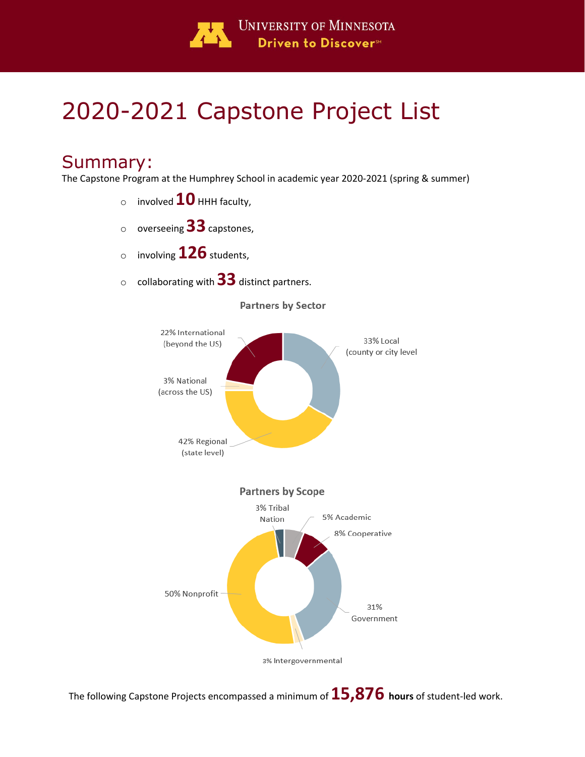

# 2020-2021 Capstone Project List

## Summary:

The Capstone Program at the Humphrey School in academic year 2020-2021 (spring & summer)

- $\circ$  involved  $10$  HHH faculty,
- <sup>o</sup> overseeing **33**capstones,
- <sup>o</sup> involving **126**students,
- <sup>o</sup> collaborating with **33** distinct partners.



The following Capstone Projects encompassed a minimum of**15,876 hours** of student-led work.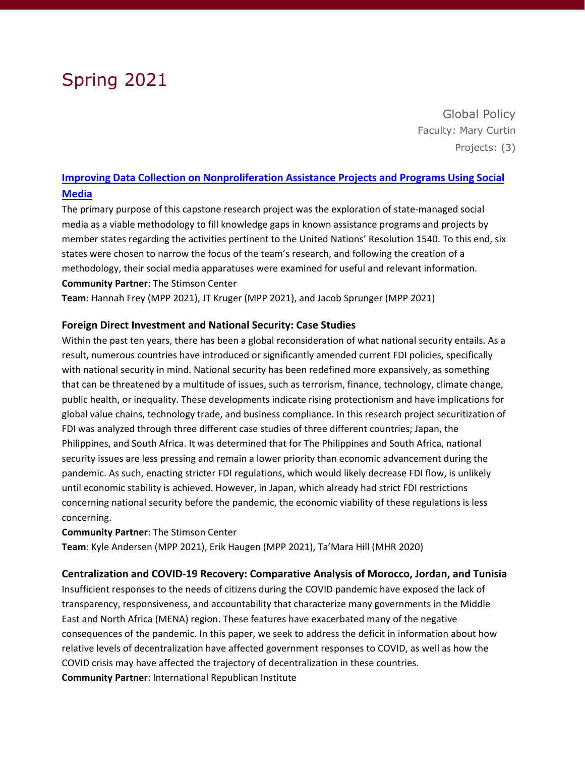## Spring 2021

Global Policy Faculty: Mary Curtin Projects: (3)

### **[Improving Data Collection on Nonproliferation Assistance Projects and Programs Using Social](https://hdl.handle.net/11299/221960)  [Media](https://hdl.handle.net/11299/221960)**

The primary purpose of this capstone research project was the exploration of state-managed social media as a viable methodology to fill knowledge gaps in known assistance programs and projects by member states regarding the activities pertinent to the United Nations' Resolution 1540. To this end, six states were chosen to narrow the focus of the team's research, and following the creation of a methodology, their social media apparatuses were examined for useful and relevant information. **Community Partner**: The Stimson Center

**Team**: Hannah Frey (MPP 2021), JT Kruger (MPP 2021), and Jacob Sprunger (MPP 2021)

### **Foreign Direct Investment and National Security: Case Studies**

Within the past ten years, there has been a global reconsideration of what national security entails. As a result, numerous countries have introduced or significantly amended current FDI policies, specifically with national security in mind. National security has been redefined more expansively, as something that can be threatened by a multitude of issues, such as terrorism, finance, technology, climate change, public health, or inequality. These developments indicate rising protectionism and have implications for global value chains, technology trade, and business compliance. In this research project securitization of FDI was analyzed through three different case studies of three different countries; Japan, the Philippines, and South Africa. It was determined that for The Philippines and South Africa, national security issues are less pressing and remain a lower priority than economic advancement during the pandemic. As such, enacting stricter FDI regulations, which would likely decrease FDI flow, is unlikely until economic stability is achieved. However, in Japan, which already had strict FDI restrictions concerning national security before the pandemic, the economic viability of these regulations is less concerning.

### **Community Partner**: The Stimson Center

**Team**: Kyle Andersen (MPP 2021), Erik Haugen (MPP 2021), Ta'Mara Hill (MHR 2020)

### **Centralization and COVID-19 Recovery: Comparative Analysis of Morocco, Jordan, and Tunisia**

Insufficient responses to the needs of citizens during the COVID pandemic have exposed the lack of transparency, responsiveness, and accountability that characterize many governments in the Middle East and North Africa (MENA) region. These features have exacerbated many of the negative consequences of the pandemic. In this paper, we seek to address the deficit in information about how relative levels of decentralization have affected government responses to COVID, as well as how the COVID crisis may have affected the trajectory of decentralization in these countries. **Community Partner**: International Republican Institute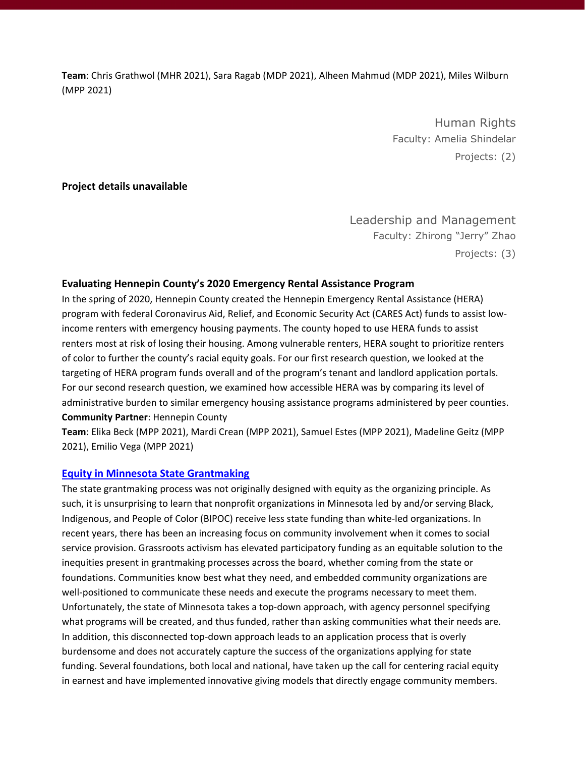**Team**: Chris Grathwol (MHR 2021), Sara Ragab (MDP 2021), Alheen Mahmud (MDP 2021), Miles Wilburn (MPP 2021)

> Human Rights Faculty: Amelia Shindelar Projects: (2)

### **Project details unavailable**

Leadership and Management Faculty: Zhirong "Jerry" Zhao Projects: (3)

#### **Evaluating Hennepin County's 2020 Emergency Rental Assistance Program**

In the spring of 2020, Hennepin County created the Hennepin Emergency Rental Assistance (HERA) program with federal Coronavirus Aid, Relief, and Economic Security Act (CARES Act) funds to assist lowincome renters with emergency housing payments. The county hoped to use HERA funds to assist renters most at risk of losing their housing. Among vulnerable renters, HERA sought to prioritize renters of color to further the county's racial equity goals. For our first research question, we looked at the targeting of HERA program funds overall and of the program's tenant and landlord application portals. For our second research question, we examined how accessible HERA was by comparing its level of administrative burden to similar emergency housing assistance programs administered by peer counties. **Community Partner**: Hennepin County

**Team**: Elika Beck (MPP 2021), Mardi Crean (MPP 2021), Samuel Estes (MPP 2021), Madeline Geitz (MPP 2021), Emilio Vega (MPP 2021)

#### **[Equity in Minnesota State Grantmaking](https://hdl.handle.net/11299/221980)**

The state grantmaking process was not originally designed with equity as the organizing principle. As such, it is unsurprising to learn that nonprofit organizations in Minnesota led by and/or serving Black, Indigenous, and People of Color (BIPOC) receive less state funding than white-led organizations. In recent years, there has been an increasing focus on community involvement when it comes to social service provision. Grassroots activism has elevated participatory funding as an equitable solution to the inequities present in grantmaking processes across the board, whether coming from the state or foundations. Communities know best what they need, and embedded community organizations are well-positioned to communicate these needs and execute the programs necessary to meet them. Unfortunately, the state of Minnesota takes a top-down approach, with agency personnel specifying what programs will be created, and thus funded, rather than asking communities what their needs are. In addition, this disconnected top-down approach leads to an application process that is overly burdensome and does not accurately capture the success of the organizations applying for state funding. Several foundations, both local and national, have taken up the call for centering racial equity in earnest and have implemented innovative giving models that directly engage community members.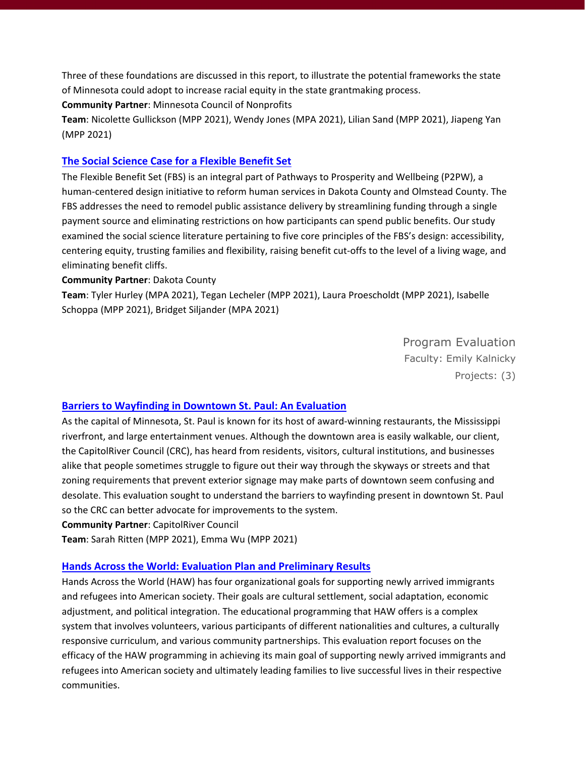Three of these foundations are discussed in this report, to illustrate the potential frameworks the state of Minnesota could adopt to increase racial equity in the state grantmaking process.

**Community Partner**: Minnesota Council of Nonprofits

**Team**: Nicolette Gullickson (MPP 2021), Wendy Jones (MPA 2021), Lilian Sand (MPP 2021), Jiapeng Yan (MPP 2021)

### **[The Social Science Case for a Flexible Benefit Set](https://hdl.handle.net/11299/221982)**

The Flexible Benefit Set (FBS) is an integral part of Pathways to Prosperity and Wellbeing (P2PW), a human-centered design initiative to reform human services in Dakota County and Olmstead County. The FBS addresses the need to remodel public assistance delivery by streamlining funding through a single payment source and eliminating restrictions on how participants can spend public benefits. Our study examined the social science literature pertaining to five core principles of the FBS's design: accessibility, centering equity, trusting families and flexibility, raising benefit cut-offs to the level of a living wage, and eliminating benefit cliffs.

**Community Partner**: Dakota County

**Team**: Tyler Hurley (MPA 2021), Tegan Lecheler (MPP 2021), Laura Proescholdt (MPP 2021), Isabelle Schoppa (MPP 2021), Bridget Siljander (MPA 2021)

> Program Evaluation Faculty: Emily Kalnicky Projects: (3)

### **[Barriers to Wayfinding in Downtown St. Paul: An Evaluation](https://hdl.handle.net/11299/220256)**

As the capital of Minnesota, St. Paul is known for its host of award-winning restaurants, the Mississippi riverfront, and large entertainment venues. Although the downtown area is easily walkable, our client, the CapitolRiver Council (CRC), has heard from residents, visitors, cultural institutions, and businesses alike that people sometimes struggle to figure out their way through the skyways or streets and that zoning requirements that prevent exterior signage may make parts of downtown seem confusing and desolate. This evaluation sought to understand the barriers to wayfinding present in downtown St. Paul so the CRC can better advocate for improvements to the system.

**Community Partner**: CapitolRiver Council

**Team**: Sarah Ritten (MPP 2021), Emma Wu (MPP 2021)

### **[Hands Across the World: Evaluation Plan and Preliminary Results](https://hdl.handle.net/11299/221984)**

Hands Across the World (HAW) has four organizational goals for supporting newly arrived immigrants and refugees into American society. Their goals are cultural settlement, social adaptation, economic adjustment, and political integration. The educational programming that HAW offers is a complex system that involves volunteers, various participants of different nationalities and cultures, a culturally responsive curriculum, and various community partnerships. This evaluation report focuses on the efficacy of the HAW programming in achieving its main goal of supporting newly arrived immigrants and refugees into American society and ultimately leading families to live successful lives in their respective communities.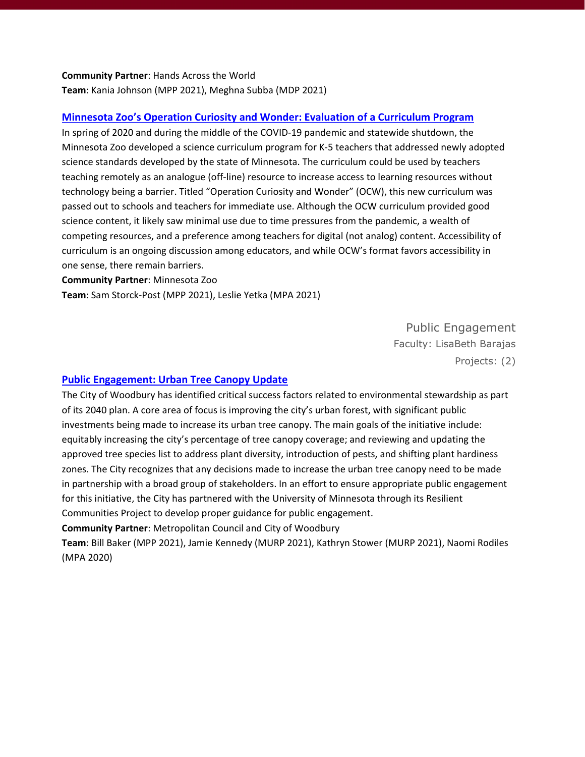### **Community Partner**: Hands Across the World **Team**: Kania Johnson (MPP 2021), Meghna Subba (MDP 2021)

### **[Minnesota Zoo's Operation Curiosity and Wonder: Evaluation of a Curriculum Program](https://hdl.handle.net/11299/221979)**

In spring of 2020 and during the middle of the COVID-19 pandemic and statewide shutdown, the Minnesota Zoo developed a science curriculum program for K-5 teachers that addressed newly adopted science standards developed by the state of Minnesota. The curriculum could be used by teachers teaching remotely as an analogue (off-line) resource to increase access to learning resources without technology being a barrier. Titled "Operation Curiosity and Wonder" (OCW), this new curriculum was passed out to schools and teachers for immediate use. Although the OCW curriculum provided good science content, it likely saw minimal use due to time pressures from the pandemic, a wealth of competing resources, and a preference among teachers for digital (not analog) content. Accessibility of curriculum is an ongoing discussion among educators, and while OCW's format favors accessibility in one sense, there remain barriers.

#### **Community Partner**: Minnesota Zoo

**Team**: Sam Storck-Post (MPP 2021), Leslie Yetka (MPA 2021)

Public Engagement Faculty: LisaBeth Barajas

Projects: (2)

### **[Public Engagement: Urban Tree Canopy Update](https://hdl.handle.net/11299/220178)**

The City of Woodbury has identified critical success factors related to environmental stewardship as part of its 2040 plan. A core area of focus is improving the city's urban forest, with significant public investments being made to increase its urban tree canopy. The main goals of the initiative include: equitably increasing the city's percentage of tree canopy coverage; and reviewing and updating the approved tree species list to address plant diversity, introduction of pests, and shifting plant hardiness zones. The City recognizes that any decisions made to increase the urban tree canopy need to be made in partnership with a broad group of stakeholders. In an effort to ensure appropriate public engagement for this initiative, the City has partnered with the University of Minnesota through its Resilient Communities Project to develop proper guidance for public engagement.

**Community Partner**: Metropolitan Council and City of Woodbury

**Team**: Bill Baker (MPP 2021), Jamie Kennedy (MURP 2021), Kathryn Stower (MURP 2021), Naomi Rodiles (MPA 2020)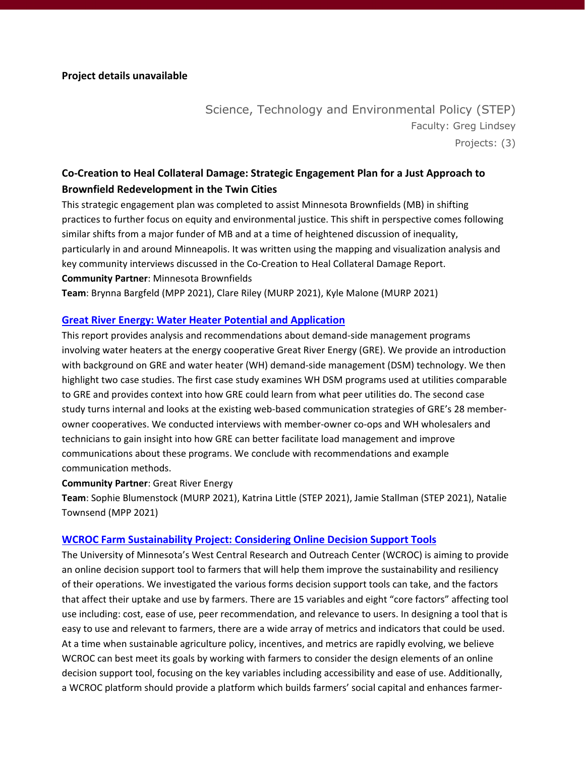### Science, Technology and Environmental Policy (STEP) Faculty: Greg Lindsey Projects: (3)

### **Co-Creation to Heal Collateral Damage: Strategic Engagement Plan for a Just Approach to Brownfield Redevelopment in the Twin Cities**

This strategic engagement plan was completed to assist Minnesota Brownfields (MB) in shifting practices to further focus on equity and environmental justice. This shift in perspective comes following similar shifts from a major funder of MB and at a time of heightened discussion of inequality, particularly in and around Minneapolis. It was written using the mapping and visualization analysis and key community interviews discussed in the Co-Creation to Heal Collateral Damage Report. **Community Partner**: Minnesota Brownfields

**Team**: Brynna Bargfeld (MPP 2021), Clare Riley (MURP 2021), Kyle Malone (MURP 2021)

### **[Great River Energy: Water Heater Potential and Application](https://hdl.handle.net/11299/221962)**

This report provides analysis and recommendations about demand-side management programs involving water heaters at the energy cooperative Great River Energy (GRE). We provide an introduction with background on GRE and water heater (WH) demand-side management (DSM) technology. We then highlight two case studies. The first case study examines WH DSM programs used at utilities comparable to GRE and provides context into how GRE could learn from what peer utilities do. The second case study turns internal and looks at the existing web-based communication strategies of GRE's 28 memberowner cooperatives. We conducted interviews with member-owner co-ops and WH wholesalers and technicians to gain insight into how GRE can better facilitate load management and improve communications about these programs. We conclude with recommendations and example communication methods.

### **Community Partner**: Great River Energy

**Team**: Sophie Blumenstock (MURP 2021), Katrina Little (STEP 2021), Jamie Stallman (STEP 2021), Natalie Townsend (MPP 2021)

### **[WCROC Farm Sustainability Project: Considering Online Decision Support Tools](https://hdl.handle.net/11299/221958)**

The University of Minnesota's West Central Research and Outreach Center (WCROC) is aiming to provide an online decision support tool to farmers that will help them improve the sustainability and resiliency of their operations. We investigated the various forms decision support tools can take, and the factors that affect their uptake and use by farmers. There are 15 variables and eight "core factors" affecting tool use including: cost, ease of use, peer recommendation, and relevance to users. In designing a tool that is easy to use and relevant to farmers, there are a wide array of metrics and indicators that could be used. At a time when sustainable agriculture policy, incentives, and metrics are rapidly evolving, we believe WCROC can best meet its goals by working with farmers to consider the design elements of an online decision support tool, focusing on the key variables including accessibility and ease of use. Additionally, a WCROC platform should provide a platform which builds farmers' social capital and enhances farmer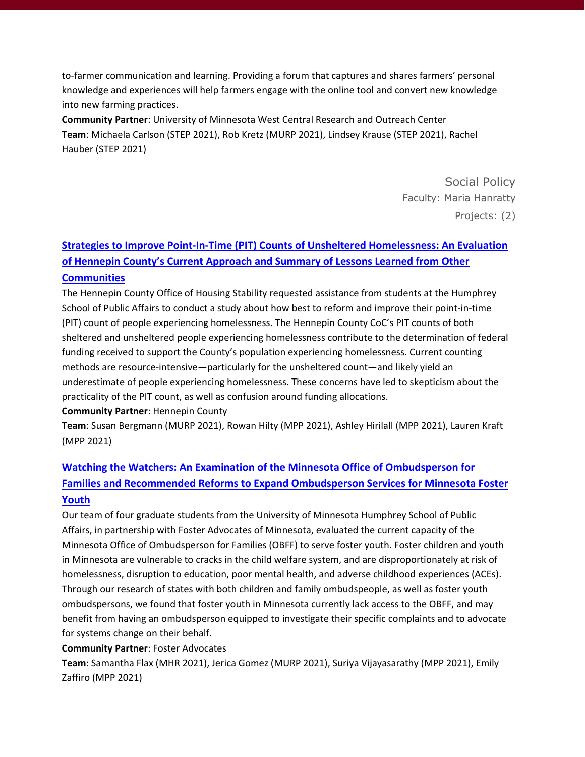to-farmer communication and learning. Providing a forum that captures and shares farmers' personal knowledge and experiences will help farmers engage with the online tool and convert new knowledge into new farming practices.

**Community Partner**: University of Minnesota West Central Research and Outreach Center **Team**: Michaela Carlson (STEP 2021), Rob Kretz (MURP 2021), Lindsey Krause (STEP 2021), Rachel Hauber (STEP 2021)

> Social Policy Faculty: Maria Hanratty Projects: (2)

### **[Strategies to Improve Point-In-Time \(PIT\) Counts of Unsheltered Homelessness: An Evaluation](https://conservancy.umn.edu/handle/11299/220075)  [of Hennepin County's Current Approach and Summary of Lessons Learned from Other](https://conservancy.umn.edu/handle/11299/220075)**

### **[Communities](https://conservancy.umn.edu/handle/11299/220075)**

The Hennepin County Office of Housing Stability requested assistance from students at the Humphrey School of Public Affairs to conduct a study about how best to reform and improve their point-in-time (PIT) count of people experiencing homelessness. The Hennepin County CoC's PIT counts of both sheltered and unsheltered people experiencing homelessness contribute to the determination of federal funding received to support the County's population experiencing homelessness. Current counting methods are resource-intensive—particularly for the unsheltered count—and likely yield an underestimate of people experiencing homelessness. These concerns have led to skepticism about the practicality of the PIT count, as well as confusion around funding allocations.

### **Community Partner**: Hennepin County

**Team**: Susan Bergmann (MURP 2021), Rowan Hilty (MPP 2021), Ashley Hirilall (MPP 2021), Lauren Kraft (MPP 2021)

### **[Watching the Watchers: An Examination of the Minnesota Office of Ombudsperson for](https://hdl.handle.net/11299/221964)  Families and Recommended Reforms [to Expand Ombudsperson Services for Minnesota Foster](https://hdl.handle.net/11299/221964)  [Youth](https://hdl.handle.net/11299/221964)**

Our team of four graduate students from the University of Minnesota Humphrey School of Public Affairs, in partnership with Foster Advocates of Minnesota, evaluated the current capacity of the Minnesota Office of Ombudsperson for Families (OBFF) to serve foster youth. Foster children and youth in Minnesota are vulnerable to cracks in the child welfare system, and are disproportionately at risk of homelessness, disruption to education, poor mental health, and adverse childhood experiences (ACEs). Through our research of states with both children and family ombudspeople, as well as foster youth ombudspersons, we found that foster youth in Minnesota currently lack access to the OBFF, and may benefit from having an ombudsperson equipped to investigate their specific complaints and to advocate for systems change on their behalf.

### **Community Partner**: Foster Advocates

**Team**: Samantha Flax (MHR 2021), Jerica Gomez (MURP 2021), Suriya Vijayasarathy (MPP 2021), Emily Zaffiro (MPP 2021)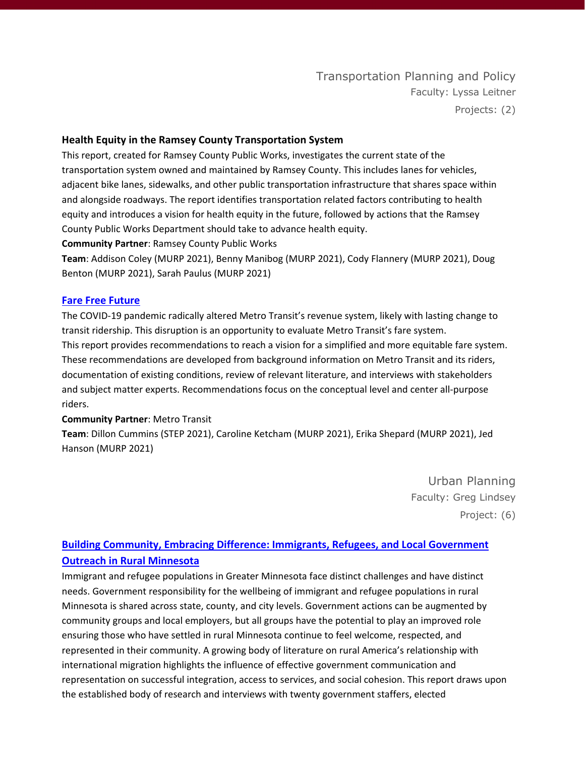### **Health Equity in the Ramsey County Transportation System**

This report, created for Ramsey County Public Works, investigates the current state of the transportation system owned and maintained by Ramsey County. This includes lanes for vehicles, adjacent bike lanes, sidewalks, and other public transportation infrastructure that shares space within and alongside roadways. The report identifies transportation related factors contributing to health equity and introduces a vision for health equity in the future, followed by actions that the Ramsey County Public Works Department should take to advance health equity.

**Community Partner**: Ramsey County Public Works

**Team**: Addison Coley (MURP 2021), Benny Manibog (MURP 2021), Cody Flannery (MURP 2021), Doug Benton (MURP 2021), Sarah Paulus (MURP 2021)

### **[Fare Free Future](https://hdl.handle.net/11299/221963)**

The COVID-19 pandemic radically altered Metro Transit's revenue system, likely with lasting change to transit ridership. This disruption is an opportunity to evaluate Metro Transit's fare system. This report provides recommendations to reach a vision for a simplified and more equitable fare system. These recommendations are developed from background information on Metro Transit and its riders, documentation of existing conditions, review of relevant literature, and interviews with stakeholders and subject matter experts. Recommendations focus on the conceptual level and center all-purpose riders.

### **Community Partner**: Metro Transit

**Team**: Dillon Cummins (STEP 2021), Caroline Ketcham (MURP 2021), Erika Shepard (MURP 2021), Jed Hanson (MURP 2021)

> Urban Planning Faculty: Greg Lindsey Project: (6)

### **[Building Community, Embracing Difference: Immigrants, Refugees, and Local Government](https://hdl.handle.net/11299/221951)  [Outreach in Rural Minnesota](https://hdl.handle.net/11299/221951)**

Immigrant and refugee populations in Greater Minnesota face distinct challenges and have distinct needs. Government responsibility for the wellbeing of immigrant and refugee populations in rural Minnesota is shared across state, county, and city levels. Government actions can be augmented by community groups and local employers, but all groups have the potential to play an improved role ensuring those who have settled in rural Minnesota continue to feel welcome, respected, and represented in their community. A growing body of literature on rural America's relationship with international migration highlights the influence of effective government communication and representation on successful integration, access to services, and social cohesion. This report draws upon the established body of research and interviews with twenty government staffers, elected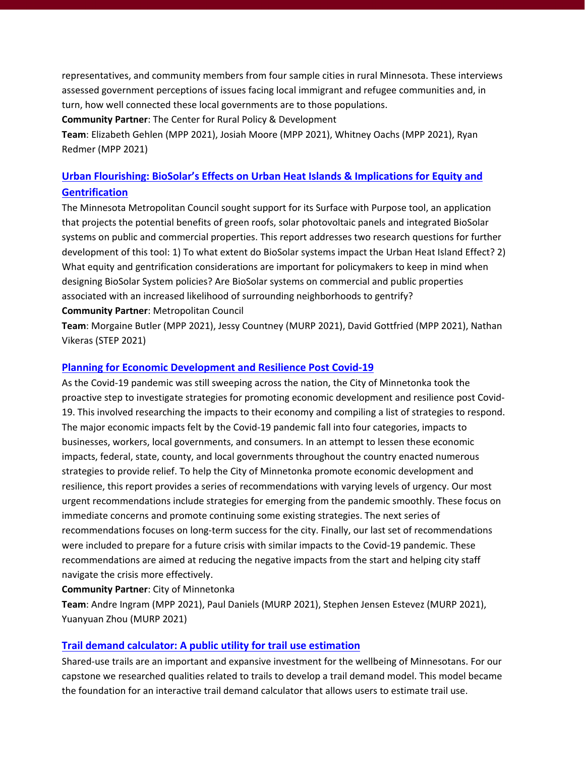representatives, and community members from four sample cities in rural Minnesota. These interviews assessed government perceptions of issues facing local immigrant and refugee communities and, in turn, how well connected these local governments are to those populations.

**Community Partner**: The Center for Rural Policy & Development

**Team**: Elizabeth Gehlen (MPP 2021), Josiah Moore (MPP 2021), Whitney Oachs (MPP 2021), Ryan Redmer (MPP 2021)

### **[Urban Flourishing: BioSolar's Effects on Urban Heat Islands & Implications for Equity and](https://hdl.handle.net/11299/220254)  [Gentrification](https://hdl.handle.net/11299/220254)**

The Minnesota Metropolitan Council sought support for its Surface with Purpose tool, an application that projects the potential benefits of green roofs, solar photovoltaic panels and integrated BioSolar systems on public and commercial properties. This report addresses two research questions for further development of this tool: 1) To what extent do BioSolar systems impact the Urban Heat Island Effect? 2) What equity and gentrification considerations are important for policymakers to keep in mind when designing BioSolar System policies? Are BioSolar systems on commercial and public properties associated with an increased likelihood of surrounding neighborhoods to gentrify?

### **Community Partner**: Metropolitan Council

**Team**: Morgaine Butler (MPP 2021), Jessy Countney (MURP 2021), David Gottfried (MPP 2021), Nathan Vikeras (STEP 2021)

### **[Planning for Economic Development and Resilience Post Covid-19](https://hdl.handle.net/11299/220252)**

As the Covid-19 pandemic was still sweeping across the nation, the City of Minnetonka took the proactive step to investigate strategies for promoting economic development and resilience post Covid-19. This involved researching the impacts to their economy and compiling a list of strategies to respond. The major economic impacts felt by the Covid-19 pandemic fall into four categories, impacts to businesses, workers, local governments, and consumers. In an attempt to lessen these economic impacts, federal, state, county, and local governments throughout the country enacted numerous strategies to provide relief. To help the City of Minnetonka promote economic development and resilience, this report provides a series of recommendations with varying levels of urgency. Our most urgent recommendations include strategies for emerging from the pandemic smoothly. These focus on immediate concerns and promote continuing some existing strategies. The next series of recommendations focuses on long-term success for the city. Finally, our last set of recommendations were included to prepare for a future crisis with similar impacts to the Covid-19 pandemic. These recommendations are aimed at reducing the negative impacts from the start and helping city staff navigate the crisis more effectively.

### **Community Partner**: City of Minnetonka

**Team**: Andre Ingram (MPP 2021), Paul Daniels (MURP 2021), Stephen Jensen Estevez (MURP 2021), Yuanyuan Zhou (MURP 2021)

### **[Trail demand calculator: A public utility for trail use estimation](https://hdl.handle.net/11299/221953)**

Shared-use trails are an important and expansive investment for the wellbeing of Minnesotans. For our capstone we researched qualities related to trails to develop a trail demand model. This model became the foundation for an interactive trail demand calculator that allows users to estimate trail use.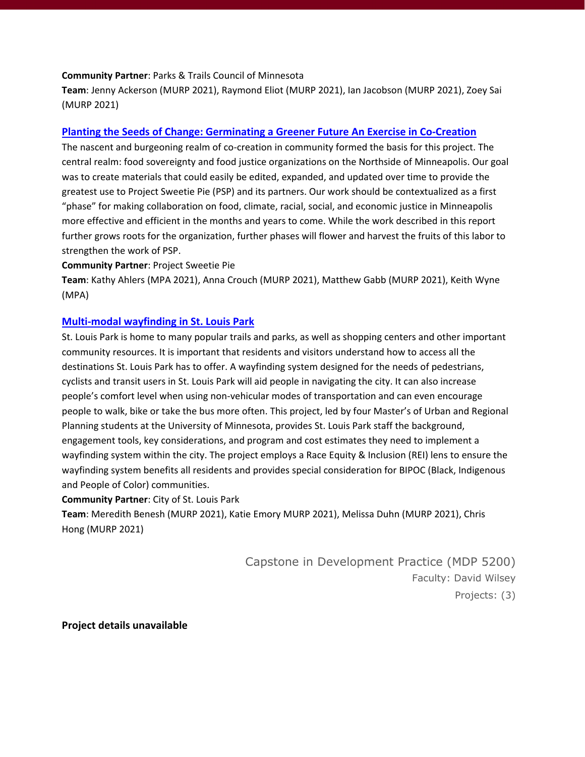#### **Community Partner**: Parks & Trails Council of Minnesota

**Team**: Jenny Ackerson (MURP 2021), Raymond Eliot (MURP 2021), Ian Jacobson (MURP 2021), Zoey Sai (MURP 2021)

### **[Planting the Seeds of Change: Germinating a Greener Future An Exercise in Co-Creation](https://hdl.handle.net/11299/221952)**

The nascent and burgeoning realm of co-creation in community formed the basis for this project. The central realm: food sovereignty and food justice organizations on the Northside of Minneapolis. Our goal was to create materials that could easily be edited, expanded, and updated over time to provide the greatest use to Project Sweetie Pie (PSP) and its partners. Our work should be contextualized as a first "phase" for making collaboration on food, climate, racial, social, and economic justice in Minneapolis more effective and efficient in the months and years to come. While the work described in this report further grows roots for the organization, further phases will flower and harvest the fruits of this labor to strengthen the work of PSP.

#### **Community Partner**: Project Sweetie Pie

**Team**: Kathy Ahlers (MPA 2021), Anna Crouch (MURP 2021), Matthew Gabb (MURP 2021), Keith Wyne (MPA)

### **[Multi-modal wayfinding in St. Louis Park](https://hdl.handle.net/11299/221961)**

St. Louis Park is home to many popular trails and parks, as well as shopping centers and other important community resources. It is important that residents and visitors understand how to access all the destinations St. Louis Park has to offer. A wayfinding system designed for the needs of pedestrians, cyclists and transit users in St. Louis Park will aid people in navigating the city. It can also increase people's comfort level when using non-vehicular modes of transportation and can even encourage people to walk, bike or take the bus more often. This project, led by four Master's of Urban and Regional Planning students at the University of Minnesota, provides St. Louis Park staff the background, engagement tools, key considerations, and program and cost estimates they need to implement a wayfinding system within the city. The project employs a Race Equity & Inclusion (REI) lens to ensure the wayfinding system benefits all residents and provides special consideration for BIPOC (Black, Indigenous and People of Color) communities.

### **Community Partner**: City of St. Louis Park

**Team**: Meredith Benesh (MURP 2021), Katie Emory MURP 2021), Melissa Duhn (MURP 2021), Chris Hong (MURP 2021)

> Capstone in Development Practice (MDP 5200) Faculty: David Wilsey Projects: (3)

**Project details unavailable**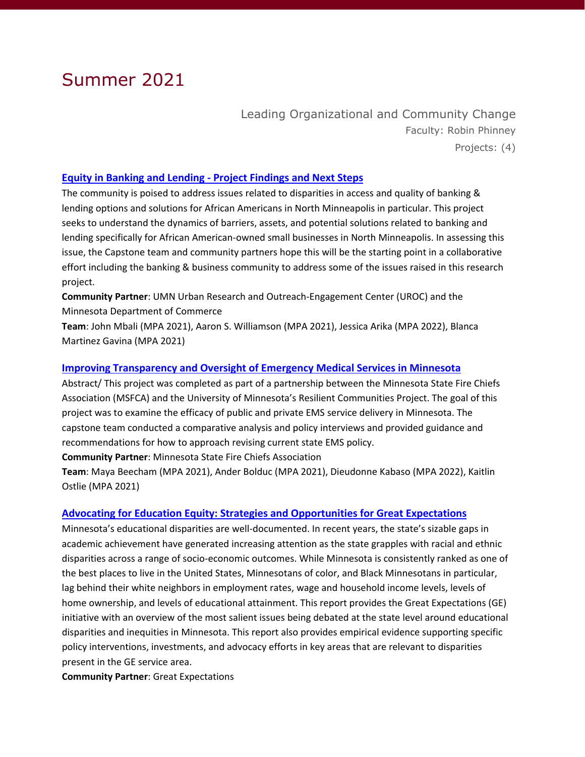## Summer 2021

Leading Organizational and Community Change Faculty: Robin Phinney Projects: (4)

### **Equity in Banking and Lending - [Project Findings and Next Steps](https://hdl.handle.net/11299/223214)**

The community is poised to address issues related to disparities in access and quality of banking & lending options and solutions for African Americans in North Minneapolis in particular. This project seeks to understand the dynamics of barriers, assets, and potential solutions related to banking and lending specifically for African American-owned small businesses in North Minneapolis. In assessing this issue, the Capstone team and community partners hope this will be the starting point in a collaborative effort including the banking & business community to address some of the issues raised in this research project.

**Community Partner**: UMN Urban Research and Outreach-Engagement Center (UROC) and the Minnesota Department of Commerce

**Team**: John Mbali (MPA 2021), Aaron S. Williamson (MPA 2021), Jessica Arika (MPA 2022), Blanca Martinez Gavina (MPA 2021)

### **[Improving Transparency and Oversight of Emergency Medical Services in Minnesota](https://hdl.handle.net/11299/225225)**

Abstract/ This project was completed as part of a partnership between the Minnesota State Fire Chiefs Association (MSFCA) and the University of Minnesota's Resilient Communities Project. The goal of this project was to examine the efficacy of public and private EMS service delivery in Minnesota. The capstone team conducted a comparative analysis and policy interviews and provided guidance and recommendations for how to approach revising current state EMS policy.

**Community Partner**: Minnesota State Fire Chiefs Association

**Team**: Maya Beecham (MPA 2021), Ander Bolduc (MPA 2021), Dieudonne Kabaso (MPA 2022), Kaitlin Ostlie (MPA 2021)

### **Advocating for Education Equity: [Strategies and Opportunities for Great Expectations](https://hdl.handle.net/11299/225834)**

Minnesota's educational disparities are well-documented. In recent years, the state's sizable gaps in academic achievement have generated increasing attention as the state grapples with racial and ethnic disparities across a range of socio-economic outcomes. While Minnesota is consistently ranked as one of the best places to live in the United States, Minnesotans of color, and Black Minnesotans in particular, lag behind their white neighbors in employment rates, wage and household income levels, levels of home ownership, and levels of educational attainment. This report provides the Great Expectations (GE) initiative with an overview of the most salient issues being debated at the state level around educational disparities and inequities in Minnesota. This report also provides empirical evidence supporting specific policy interventions, investments, and advocacy efforts in key areas that are relevant to disparities present in the GE service area.

**Community Partner**: Great Expectations